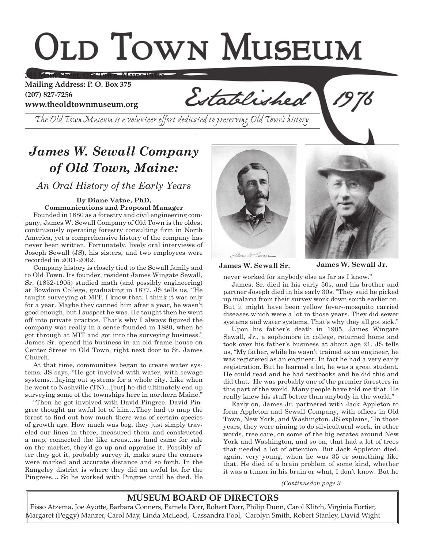# **OLD TOWN MUSEUM**

**353 Main Street, Old Town, Maine 04468**

**Mailing Address: P. O. Box 375 (207) 827-7256 www.theoldtownmuseum.org**

Established

*The Old Town Museum is a volunteer effort dedicated to preserving Old Town's history.*

## *James W. Sewall Company of Old Town, Maine:*

*An Oral History of the Early Years*

#### **By Diane Vatne, PhD, Communications and Proposal Manager**

Founded in 1880 as a forestry and civil engineering company, James W. Sewall Company of Old Town is the oldest continuously operating forestry consulting frm in North America, yet a comprehensive history of the company has never been written. Fortunately, lively oral interviews of Joseph Sewall (JS), his sisters, and two employees were recorded in 2001-2002.

Company history is closely tied to the Sewall family and to Old Town. Its founder, resident James Wingate Sewall, Sr. (1852-1905) studied math (and possibly engineering) at Bowdoin College, graduating in 1877. JS tells us, "He taught surveying at MIT, I know that. I think it was only for a year. Maybe they canned him after a year, he wasn't good enough, but I suspect he was. He taught then he went off into private practice. That's why I always fgured the company was really in a sense founded in 1880, when he got through at MIT and got into the surveying business." James Sr. opened his business in an old frame house on Center Street in Old Town, right next door to St. James Church.

At that time, communities began to create water systems. JS says, "He got involved with water, with sewage systems…laying out systems for a whole city. Like when he went to Nashville (TN)…[but] he did ultimately end up surveying some of the townships here in northern Maine."

"Then he got involved with David Pingree. David Pingree thought an awful lot of him…They had to map the forest to fnd out how much there was of certain species of growth age. How much was bog, they just simply traveled our lines in there, measured them and constructed a map, connected the like areas…as land came for sale on the market, they'd go up and appraise it. Possibly after they got it, probably survey it, make sure the corners were marked and accurate distance and so forth. In the Rangeley district is where they did an awful lot for the Pingrees… So he worked with Pingree until he died. He





**James W. Sewall Sr. James W. Sewall Jr.**

never worked for anybody else as far as I know."

James, Sr. died in his early 50s, and his brother and partner Joseph died in his early 30s. "They said he picked up malaria from their survey work down south earlier on. But it might have been yellow fever--mosquito carried diseases which were a lot in those years. They did sewer systems and water systems. That's why they all got sick."

Upon his father's death in 1905, James Wingate Sewall, Jr., a sophomore in college, returned home and took over his father's business at about age 21. JS tells us, "My father, while he wasn't trained as an engineer, he was registered as an engineer. In fact he had a very early registration. But he learned a lot, he was a great student. He could read and he had textbooks and he did this and did that. He was probably one of the premier foresters in this part of the world. Many people have told me that. He really knew his stuff better than anybody in the world."

Early on, James Jr. partnered with Jack Appleton to form Appleton and Sewall Company, with offices in Old Town, New York, and Washington. JS explains, "In those years, they were aiming to do silvicultural work, in other words, tree care, on some of the big estates around New York and Washington, and so on, that had a lot of trees that needed a lot of attention. But Jack Appleton died, again, very young, when he was 35 or something like that. He died of a brain problem of some kind, whether it was a tumor in his brain or what, I don't know. But he

*(Continuedon page 3*

### **MUSEUM BOARD OF DIRECTORS**

Eisso Atzema, Joe Ayotte, Barbara Conners, Pamela Dorr, Robert Dorr, Philip Dunn, Carol Klitch, Virginia Fortier, Margaret (Peggy) Manzer, Carol May, Linda McLeod, Cassandra Pool, Carolyn Smith, Robert Stanley, David Wight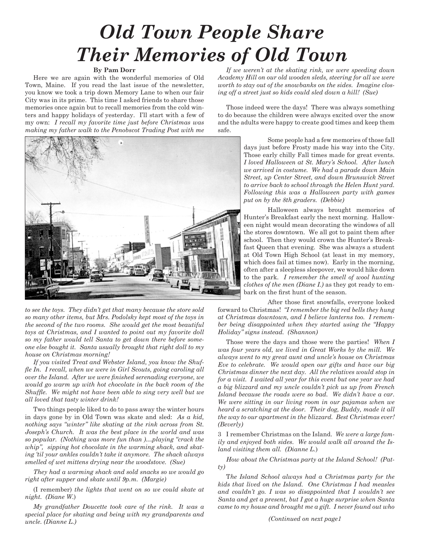## *Old Town People Share Their Memories of Old Town*

#### **By Pam Dorr**

Here we are again with the wonderful memories of Old Town, Maine. If you read the last issue of the newsletter, you know we took a trip down Memory Lane to when our fair City was in its prime. This time I asked friends to share those memories once again but to recall memories from the cold winters and happy holidays of yesterday. I'll start with a few of my own: *I recall my favorite time just before Christmas was making my father walk to the Penobscot Trading Post with me* 



*to see the toys. They didn't get that many because the store sold so many other items, but Mrs. Podolsky kept most of the toys in the second of the two rooms. She would get the most beautiful toys at Christmas, and I wanted to point out my favorite doll so my father would tell Santa to get down there before someone else bought it. Santa usually brought that right doll to my house on Christmas morning!* 

*If you visited Treat and Webster Island, you know the Shuffe In. I recall, when we were in Girl Scouts, going caroling all over the Island. After we were fnished serenading everyone, we would go warm up with hot chocolate in the back room of the Shuffe. We might not have been able to sing very well but we all loved that tasty winter drink!*

Two things people liked to do to pass away the winter hours in days gone by in Old Town was skate and sled: *As a kid, nothing says "winter" like skating at the rink across from St. Joseph's Church. It was the best place in the world and was so popular. (Nothing was more fun than )…playing "crack the whip", sipping hot chocolate in the warming shack, and skating 'til your ankles couldn't take it anymore. The shack always smelled of wet mittens drying near the woodstove. (Sue)*

*They had a warming shack and sold snacks so we would go right after supper and skate until 9p.m. (Margie)*

(I remember) *the lights that went on so we could skate at night. (Diane W*.)

*My grandfather Doucette took care of the rink. It was a special place for skating and being with my grandparents and uncle. (Dianne L.)*

*If we weren't at the skating rink, we were speeding down Academy Hill on our old wooden sleds, steering for all we were worth to stay out of the snowbanks on the sides. Imagine closing off a street just so kids could sled down a hill! (Sue)*

Those indeed were the days! There was always something to do because the children were always excited over the snow and the adults were happy to create good times and keep them safe.

> Some people had a few memories of those fall days just before Frosty made his way into the City. Those early chilly Fall times made for great events. *I loved Halloween at St. Mary's School. After lunch we arrived in costume. We had a parade down Main Street, up Center Street, and down Brunswick Street to arrive back to school through the Helen Hunt yard. Following this was a Halloween party with games put on by the 8th graders. (Debbie)*

> Halloween always brought memories of Hunter's Breakfast early the next morning. Halloween night would mean decorating the windows of all the stores downtown. We all got to paint them after school. Then they would crown the Hunter's Breakfast Queen that evening. She was always a student at Old Town High School (at least in my memory, which does fail at times now). Early in the morning, often after a sleepless sleepover, we would hike down to the park. *I remember the smell of wool hunting clothes of the men (Diane I.)* as they got ready to embark on the frst hunt of the season.

After those frst snowfalls, everyone looked forward to Christmas! *"I remember the big red bells they hung at Christmas downtown, and I believe lanterns too. I remember being disappointed when they started using the "Happy Holiday" signs instead. (Shannon)*

Those were the days and those were the parties! *When I was four years old, we lived in Great Works by the mill. We always went to my great aunt and uncle's house on Christmas Eve to celebrate. We would open our gifts and have our big Christmas dinner the next day. All the relatives would stop in for a visit. I waited all year for this event but one year we had a big blizzard and my uncle couldn't pick us up from French Island because the roads were so bad. We didn't have a car. We were sitting in our living room in our pajamas when we heard a scratching at the door. Their dog, Buddy, made it all the way to our apartment in the blizzard. Best Christmas ever! (Beverly)*

3 I remember Christmas on the Island. *We were a large family and enjoyed both sides. We would walk all around the Island visiting them all. (Dianne L.*)

*How about the Christmas party at the Island School! (Patty)*

T*he Island School always had a Christmas party for the kids that lived on the Island. One Christmas I had measles and couldn't go. I was so disappointed that I wouldn't see Santa and get a present, but I got a huge surprise when Santa came to my house and brought me a gift. I never found out who* 

*(Continued on next page1*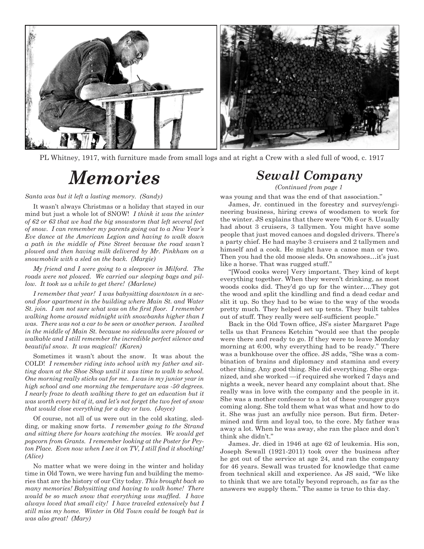

PL Whitney, 1917, with furniture made from small logs and at right a Crew with a sled full of wood, c. 1917

*Santa was but it left a lasting memory. (Sandy)*

It wasn't always Christmas or a holiday that stayed in our mind but just a whole lot of SNOW! *I think it was the winter of 62 or 63 that we had the big snowstorm that left several feet of snow. I can remember my parents going out to a New Year's Eve dance at the American Legion and having to walk down a path in the middle of Pine Street because the road wasn't plowed and then having milk delivered by Mr. Pinkham on a snowmobile with a sled on the back. (Margie)*

*My friend and I were going to a sleepover in Milford. The roads were not plowed. We carried our sleeping bags and pillow. It took us a while to get there! (Marlene)*

*I remember that year! I was babysitting downtown in a second foor apartment in the building where Main St. and Water St. join. I am not sure what was on the frst foor. I remember walking home around midnight with snowbanks higher than I was. There was not a car to be seen or another person. I walked in the middle of Main St. because no sidewalks were plowed or walkable and I still remember the incredible perfect silence and beautiful snow. It was magical! (Karen)*

Sometimes it wasn't about the snow. It was about the COLD! *I remember riding into school with my father and sitting down at the Shoe Shop until it was time to walk to school. One morning really sticks out for me. I was in my junior year in high school and one morning the temperature was -50 degrees. I nearly froze to death walking there to get an education but it was worth every bit of it, and let's not forget the two feet of snow that would close everything for a day or two. (Joyce)*

Of course, not all of us were out in the cold skating, sledding, or making snow forts. *I remember going to the Strand and sitting there for hours watching the movies. We would get popcorn from Grants. I remember looking at the Poster for Peyton Place. Even now when I see it on TV, I still fnd it shocking! (Alice)*

No matter what we were doing in the winter and holiday time in Old Town, we were having fun and building the memories that are the history of our City today. *This brought back so many memories! Babysitting and having to walk home! There would be so much snow that everything was muffed. I have always loved that small city! I have traveled extensively but I still miss my home. Winter in Old Town could be tough but is was also great! (Mary)*

## *Sewall Company Memories*

*(Continued from page 1*

was young and that was the end of that association."

James, Jr. continued in the forestry and survey/engineering business, hiring crews of woodsmen to work for the winter. JS explains that there were "Oh 6 or 8. Usually had about 3 cruisers, 3 tallymen. You might have some people that just moved canoes and dogsled drivers. There's a party chief. He had maybe 3 cruisers and 2 tallymen and himself and a cook. He might have a canoe man or two. Then you had the old moose sleds. On snowshoes…it's just like a horse. That was rugged stuff."

"[Wood cooks were] Very important. They kind of kept everything together. When they weren't drinking, as most woods cooks did. They'd go up for the winter….They got the wood and split the kindling and fnd a dead cedar and slit it up. So they had to be wise to the way of the woods pretty much. They helped set up tents. They built tables out of stuff. They really were self-suffcient people."

Back in the Old Town office, JS's sister Margaret Page tells us that Frances Ketchin "would see that the people were there and ready to go. If they were to leave Monday morning at 6:00, why everything had to be ready." There was a bunkhouse over the office. JS adds, "She was a combination of brains and diplomacy and stamina and every other thing. Any good thing. She did everything. She organized, and she worked —if required she worked 7 days and nights a week, never heard any complaint about that. She really was in love with the company and the people in it. She was a mother confessor to a lot of these younger guys coming along. She told them what was what and how to do it. She was just an awfully nice person. But frm. Determined and frm and loyal too, to the core. My father was away a lot. When he was away, she ran the place and don't think she didn't."

James. Jr. died in 1946 at age 62 of leukemia. His son, Joseph Sewall (1921-2011) took over the business after he got out of the service at age 24, and ran the company for 46 years. Sewall was trusted for knowledge that came from technical skill and experience. As JS said, "We like to think that we are totally beyond reproach, as far as the answers we supply them." The same is true to this day.